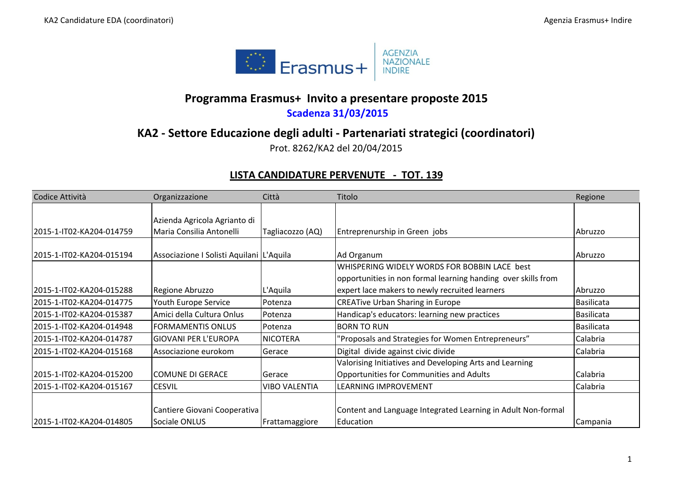

## **Programma Erasmus+ Invito <sup>a</sup> presentare proposte 2015**

## **Scadenza 31/03/2015**

## **KA2 ‐ Settore Educazione degli adulti ‐ Partenariati strategici (coordinatori)**

Prot. 8262/KA2 del 20/04/2015

## **LISTA CANDIDATURE PERVENUTE ‐ TOT. 139**

| Codice Attività          | Organizzazione                           | Città                | Titolo                                                        | Regione    |
|--------------------------|------------------------------------------|----------------------|---------------------------------------------------------------|------------|
|                          |                                          |                      |                                                               |            |
|                          | Azienda Agricola Agrianto di             |                      |                                                               |            |
| 2015-1-IT02-KA204-014759 | Maria Consilia Antonelli                 | Tagliacozzo (AQ)     | Entreprenurship in Green jobs                                 | Abruzzo    |
|                          |                                          |                      |                                                               |            |
| 2015-1-IT02-KA204-015194 | Associazione I Solisti Aquilani L'Aquila |                      | Ad Organum                                                    | Abruzzo    |
|                          |                                          |                      | WHISPERING WIDELY WORDS FOR BOBBIN LACE best                  |            |
|                          |                                          |                      | opportunities in non formal learning handing over skills from |            |
| 2015-1-IT02-KA204-015288 | Regione Abruzzo                          | L'Aquila             | expert lace makers to newly recruited learners                | lAbruzzo   |
| 2015-1-IT02-KA204-014775 | Youth Europe Service                     | Potenza              | <b>CREATive Urban Sharing in Europe</b>                       | Basilicata |
| 2015-1-IT02-KA204-015387 | Amici della Cultura Onlus                | Potenza              | Handicap's educators: learning new practices                  | Basilicata |
| 2015-1-IT02-KA204-014948 | FORMAMENTIS ONLUS                        | Potenza              | <b>BORN TO RUN</b>                                            | Basilicata |
| 2015-1-IT02-KA204-014787 | <b>GIOVANI PER L'EUROPA</b>              | <b>NICOTERA</b>      | 'Proposals and Strategies for Women Entrepreneurs"            | Calabria   |
| 2015-1-IT02-KA204-015168 | Associazione eurokom                     | Gerace               | Digital divide against civic divide                           | Calabria   |
|                          |                                          |                      | Valorising Initiatives and Developing Arts and Learning       |            |
| 2015-1-IT02-KA204-015200 | COMUNE DI GERACE                         | Gerace               | Opportunities for Communities and Adults                      | Calabria   |
| 2015-1-IT02-KA204-015167 | <b>CESVIL</b>                            | <b>VIBO VALENTIA</b> | LEARNING IMPROVEMENT                                          | Calabria   |
|                          |                                          |                      |                                                               |            |
|                          | Cantiere Giovani Cooperativa             |                      | Content and Language Integrated Learning in Adult Non-formal  |            |
| 2015-1-IT02-KA204-014805 | Sociale ONLUS                            | Frattamaggiore       | Education                                                     | Campania   |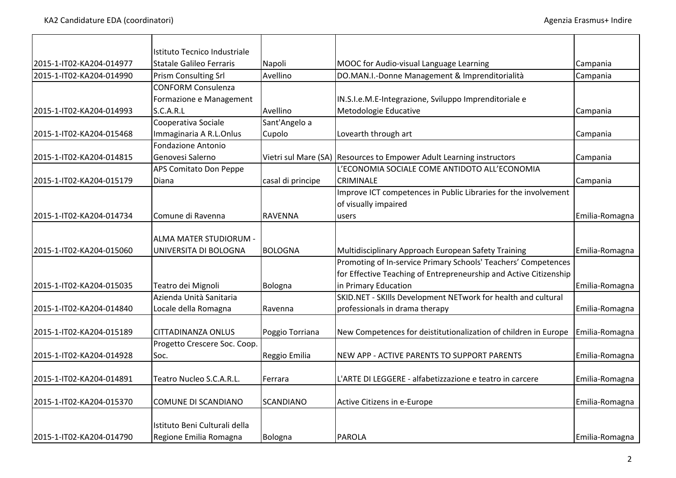|                          | Istituto Tecnico Industriale    |                   |                                                                      |                |
|--------------------------|---------------------------------|-------------------|----------------------------------------------------------------------|----------------|
| 2015-1-IT02-KA204-014977 | <b>Statale Galileo Ferraris</b> | Napoli            | MOOC for Audio-visual Language Learning                              | Campania       |
| 2015-1-IT02-KA204-014990 | <b>Prism Consulting Srl</b>     | Avellino          | DO.MAN.I.-Donne Management & Imprenditorialità                       | Campania       |
|                          | <b>CONFORM Consulenza</b>       |                   |                                                                      |                |
|                          | Formazione e Management         |                   | IN.S.I.e.M.E-Integrazione, Sviluppo Imprenditoriale e                |                |
| 2015-1-IT02-KA204-014993 | S.C.A.R.L                       | Avellino          | Metodologie Educative                                                | Campania       |
|                          | Cooperativa Sociale             | Sant'Angelo a     |                                                                      |                |
| 2015-1-IT02-KA204-015468 | Immaginaria A R.L.Onlus         | Cupolo            | Lovearth through art                                                 | Campania       |
|                          | <b>Fondazione Antonio</b>       |                   |                                                                      |                |
| 2015-1-IT02-KA204-014815 | Genovesi Salerno                |                   | Vietri sul Mare (SA) Resources to Empower Adult Learning instructors | Campania       |
|                          | APS Comitato Don Peppe          |                   | L'ECONOMIA SOCIALE COME ANTIDOTO ALL'ECONOMIA                        |                |
| 2015-1-IT02-KA204-015179 | Diana                           | casal di principe | <b>CRIMINALE</b>                                                     | Campania       |
|                          |                                 |                   | Improve ICT competences in Public Libraries for the involvement      |                |
|                          |                                 |                   | of visually impaired                                                 |                |
| 2015-1-IT02-KA204-014734 | Comune di Ravenna               | <b>RAVENNA</b>    | users                                                                | Emilia-Romagna |
|                          |                                 |                   |                                                                      |                |
|                          | ALMA MATER STUDIORUM -          |                   |                                                                      |                |
| 2015-1-IT02-KA204-015060 | UNIVERSITA DI BOLOGNA           | <b>BOLOGNA</b>    | Multidisciplinary Approach European Safety Training                  | Emilia-Romagna |
|                          |                                 |                   | Promoting of In-service Primary Schools' Teachers' Competences       |                |
|                          |                                 |                   | for Effective Teaching of Entrepreneurship and Active Citizenship    |                |
| 2015-1-IT02-KA204-015035 | Teatro dei Mignoli              | Bologna           | in Primary Education                                                 | Emilia-Romagna |
|                          | Azienda Unità Sanitaria         |                   | SKID.NET - SKIlls Development NETwork for health and cultural        |                |
| 2015-1-IT02-KA204-014840 | Locale della Romagna            | Ravenna           | professionals in drama therapy                                       | Emilia-Romagna |
|                          |                                 |                   |                                                                      |                |
| 2015-1-IT02-KA204-015189 | <b>CITTADINANZA ONLUS</b>       | Poggio Torriana   | New Competences for deistitutionalization of children in Europe      | Emilia-Romagna |
|                          | Progetto Crescere Soc. Coop.    |                   |                                                                      |                |
| 2015-1-IT02-KA204-014928 | Soc.                            | Reggio Emilia     | NEW APP - ACTIVE PARENTS TO SUPPORT PARENTS                          | Emilia-Romagna |
|                          |                                 |                   |                                                                      |                |
| 2015-1-IT02-KA204-014891 | Teatro Nucleo S.C.A.R.L.        | Ferrara           | L'ARTE DI LEGGERE - alfabetizzazione e teatro in carcere             | Emilia-Romagna |
| 2015-1-IT02-KA204-015370 | COMUNE DI SCANDIANO             | <b>SCANDIANO</b>  | Active Citizens in e-Europe                                          | Emilia-Romagna |
|                          | Istituto Beni Culturali della   |                   |                                                                      |                |
| 2015-1-IT02-KA204-014790 | Regione Emilia Romagna          | Bologna           | <b>PAROLA</b>                                                        | Emilia-Romagna |
|                          |                                 |                   |                                                                      |                |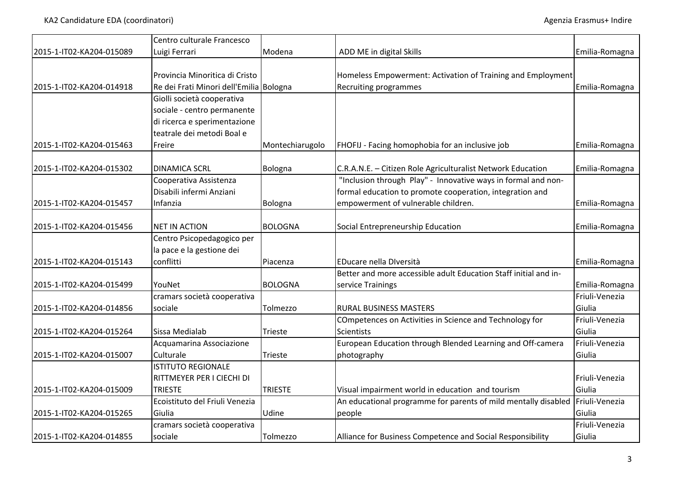|                          | Centro culturale Francesco              |                 |                                                                  |                |
|--------------------------|-----------------------------------------|-----------------|------------------------------------------------------------------|----------------|
| 2015-1-IT02-KA204-015089 | Luigi Ferrari                           | Modena          | ADD ME in digital Skills                                         | Emilia-Romagna |
|                          |                                         |                 |                                                                  |                |
|                          | Provincia Minoritica di Cristo          |                 | Homeless Empowerment: Activation of Training and Employment      |                |
| 2015-1-IT02-KA204-014918 | Re dei Frati Minori dell'Emilia Bologna |                 | Recruiting programmes                                            | Emilia-Romagna |
|                          | Giolli società cooperativa              |                 |                                                                  |                |
|                          | sociale - centro permanente             |                 |                                                                  |                |
|                          | di ricerca e sperimentazione            |                 |                                                                  |                |
|                          | teatrale dei metodi Boal e              |                 |                                                                  |                |
| 2015-1-IT02-KA204-015463 | Freire                                  | Montechiarugolo | FHOFIJ - Facing homophobia for an inclusive job                  | Emilia-Romagna |
| 2015-1-IT02-KA204-015302 | <b>DINAMICA SCRL</b>                    | Bologna         | C.R.A.N.E. - Citizen Role Agriculturalist Network Education      | Emilia-Romagna |
|                          | Cooperativa Assistenza                  |                 | "Inclusion through Play" - Innovative ways in formal and non-    |                |
|                          | Disabili infermi Anziani                |                 | formal education to promote cooperation, integration and         |                |
| 2015-1-IT02-KA204-015457 | Infanzia                                | Bologna         | empowerment of vulnerable children.                              | Emilia-Romagna |
|                          |                                         |                 |                                                                  |                |
| 2015-1-IT02-KA204-015456 | <b>NET IN ACTION</b>                    | <b>BOLOGNA</b>  | Social Entrepreneurship Education                                | Emilia-Romagna |
|                          | Centro Psicopedagogico per              |                 |                                                                  |                |
|                          | la pace e la gestione dei               |                 |                                                                  |                |
| 2015-1-IT02-KA204-015143 | conflitti                               | Piacenza        | EDucare nella Diversità                                          | Emilia-Romagna |
|                          |                                         |                 | Better and more accessible adult Education Staff initial and in- |                |
| 2015-1-IT02-KA204-015499 | YouNet                                  | <b>BOLOGNA</b>  | service Trainings                                                | Emilia-Romagna |
|                          | cramars società cooperativa             |                 |                                                                  | Friuli-Venezia |
| 2015-1-IT02-KA204-014856 | sociale                                 | Tolmezzo        | <b>RURAL BUSINESS MASTERS</b>                                    | Giulia         |
|                          |                                         |                 | COmpetences on Activities in Science and Technology for          | Friuli-Venezia |
| 2015-1-IT02-KA204-015264 | Sissa Medialab                          | Trieste         | <b>Scientists</b>                                                | Giulia         |
|                          | Acquamarina Associazione                |                 | European Education through Blended Learning and Off-camera       | Friuli-Venezia |
| 2015-1-IT02-KA204-015007 | Culturale                               | Trieste         | photography                                                      | Giulia         |
|                          | <b>ISTITUTO REGIONALE</b>               |                 |                                                                  |                |
|                          | RITTMEYER PER I CIECHI DI               |                 |                                                                  | Friuli-Venezia |
| 2015-1-IT02-KA204-015009 | <b>TRIESTE</b>                          | <b>TRIESTE</b>  | Visual impairment world in education and tourism                 | Giulia         |
|                          | Ecoistituto del Friuli Venezia          |                 | An educational programme for parents of mild mentally disabled   | Friuli-Venezia |
| 2015-1-IT02-KA204-015265 | Giulia                                  | Udine           | people                                                           | Giulia         |
|                          | cramars società cooperativa             |                 |                                                                  | Friuli-Venezia |
| 2015-1-IT02-KA204-014855 | sociale                                 | Tolmezzo        | Alliance for Business Competence and Social Responsibility       | Giulia         |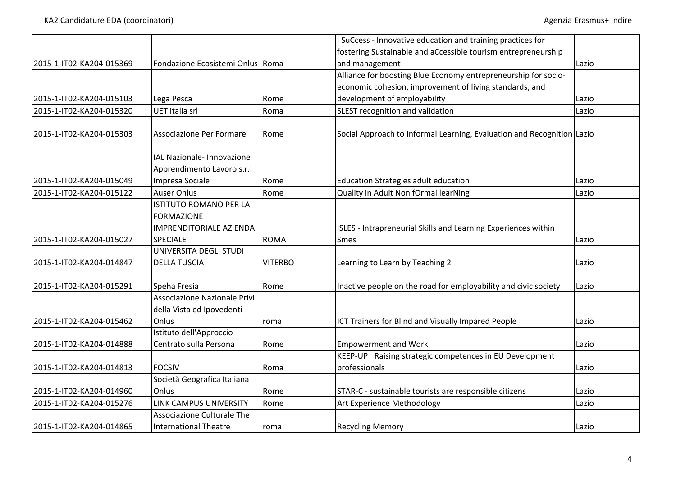|                          |                                                                             |                | I SuCcess - Innovative education and training practices for            |       |
|--------------------------|-----------------------------------------------------------------------------|----------------|------------------------------------------------------------------------|-------|
|                          |                                                                             |                | fostering Sustainable and aCcessible tourism entrepreneurship          |       |
| 2015-1-IT02-KA204-015369 | Fondazione Ecosistemi Onlus Roma                                            |                | and management                                                         | Lazio |
|                          |                                                                             |                | Alliance for boosting Blue Economy entrepreneurship for socio-         |       |
|                          |                                                                             |                | economic cohesion, improvement of living standards, and                |       |
| 2015-1-IT02-KA204-015103 | Lega Pesca                                                                  | Rome           | development of employability                                           | Lazio |
| 2015-1-IT02-KA204-015320 | UET Italia srl                                                              | Roma           | SLEST recognition and validation                                       | Lazio |
| 2015-1-IT02-KA204-015303 | Associazione Per Formare                                                    | Rome           | Social Approach to Informal Learning, Evaluation and Recognition Lazio |       |
| 2015-1-IT02-KA204-015049 | IAL Nazionale- Innovazione<br>Apprendimento Lavoro s.r.l<br>Impresa Sociale | Rome           | Education Strategies adult education                                   | Lazio |
| 2015-1-IT02-KA204-015122 | <b>Auser Onlus</b>                                                          | Rome           | Quality in Adult Non fOrmal learNing                                   | Lazio |
|                          | <b>ISTITUTO ROMANO PER LA</b>                                               |                |                                                                        |       |
|                          | <b>FORMAZIONE</b>                                                           |                |                                                                        |       |
|                          | <b>IMPRENDITORIALE AZIENDA</b>                                              |                | ISLES - Intrapreneurial Skills and Learning Experiences within         |       |
| 2015-1-IT02-KA204-015027 | <b>SPECIALE</b>                                                             | <b>ROMA</b>    | <b>Smes</b>                                                            |       |
|                          |                                                                             |                |                                                                        | Lazio |
|                          | UNIVERSITA DEGLI STUDI                                                      |                |                                                                        |       |
| 2015-1-IT02-KA204-014847 | <b>DELLA TUSCIA</b>                                                         | <b>VITERBO</b> | Learning to Learn by Teaching 2                                        | Lazio |
| 2015-1-IT02-KA204-015291 | Speha Fresia                                                                | Rome           | Inactive people on the road for employability and civic society        | Lazio |
|                          | Associazione Nazionale Privi                                                |                |                                                                        |       |
|                          | della Vista ed Ipovedenti                                                   |                |                                                                        |       |
| 2015-1-IT02-KA204-015462 | Onlus                                                                       | roma           | ICT Trainers for Blind and Visually Impared People                     | Lazio |
|                          | Istituto dell'Approccio                                                     |                |                                                                        |       |
| 2015-1-IT02-KA204-014888 | Centrato sulla Persona                                                      | Rome           | <b>Empowerment and Work</b>                                            | Lazio |
|                          |                                                                             |                | KEEP-UP_Raising strategic competences in EU Development                |       |
| 2015-1-IT02-KA204-014813 | <b>FOCSIV</b>                                                               | Roma           | professionals                                                          | Lazio |
|                          | Società Geografica Italiana                                                 |                |                                                                        |       |
| 2015-1-IT02-KA204-014960 | Onlus                                                                       | Rome           | STAR-C - sustainable tourists are responsible citizens                 | Lazio |
| 2015-1-IT02-KA204-015276 | LINK CAMPUS UNIVERSITY                                                      | Rome           | Art Experience Methodology                                             | Lazio |
|                          | Associazione Culturale The                                                  |                |                                                                        |       |
| 2015-1-IT02-KA204-014865 | <b>International Theatre</b>                                                | roma           | <b>Recycling Memory</b>                                                | Lazio |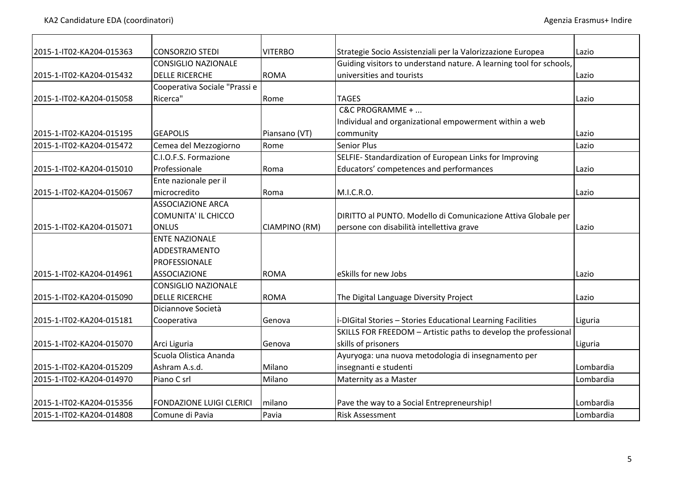| 2015-1-IT02-KA204-015363 | <b>CONSORZIO STEDI</b>          | <b>VITERBO</b> | Strategie Socio Assistenziali per la Valorizzazione Europea         | Lazio     |
|--------------------------|---------------------------------|----------------|---------------------------------------------------------------------|-----------|
|                          | <b>CONSIGLIO NAZIONALE</b>      |                | Guiding visitors to understand nature. A learning tool for schools, |           |
| 2015-1-IT02-KA204-015432 | <b>DELLE RICERCHE</b>           | <b>ROMA</b>    | universities and tourists                                           | Lazio     |
|                          | Cooperativa Sociale "Prassi e   |                |                                                                     |           |
| 2015-1-IT02-KA204-015058 | Ricerca"                        | Rome           | <b>TAGES</b>                                                        | Lazio     |
|                          |                                 |                | C&C PROGRAMME +                                                     |           |
|                          |                                 |                | Individual and organizational empowerment within a web              |           |
| 2015-1-IT02-KA204-015195 | <b>GEAPOLIS</b>                 | Piansano (VT)  | community                                                           | Lazio     |
| 2015-1-IT02-KA204-015472 | Cemea del Mezzogiorno           | Rome           | <b>Senior Plus</b>                                                  | Lazio     |
|                          | C.I.O.F.S. Formazione           |                | SELFIE-Standardization of European Links for Improving              |           |
| 2015-1-IT02-KA204-015010 | Professionale                   | Roma           | Educators' competences and performances                             | Lazio     |
|                          | Ente nazionale per il           |                |                                                                     |           |
| 2015-1-IT02-KA204-015067 | microcredito                    | Roma           | M.I.C.R.O.                                                          | Lazio     |
|                          | <b>ASSOCIAZIONE ARCA</b>        |                |                                                                     |           |
|                          | <b>COMUNITA' IL CHICCO</b>      |                | DIRITTO al PUNTO. Modello di Comunicazione Attiva Globale per       |           |
| 2015-1-IT02-KA204-015071 | <b>ONLUS</b>                    | CIAMPINO (RM)  | persone con disabilità intellettiva grave                           | Lazio     |
|                          | <b>ENTE NAZIONALE</b>           |                |                                                                     |           |
|                          | ADDESTRAMENTO                   |                |                                                                     |           |
|                          | PROFESSIONALE                   |                |                                                                     |           |
| 2015-1-IT02-KA204-014961 | <b>ASSOCIAZIONE</b>             | <b>ROMA</b>    | eSkills for new Jobs                                                | Lazio     |
|                          | <b>CONSIGLIO NAZIONALE</b>      |                |                                                                     |           |
| 2015-1-IT02-KA204-015090 | <b>DELLE RICERCHE</b>           | <b>ROMA</b>    | The Digital Language Diversity Project                              | Lazio     |
|                          | Diciannove Società              |                |                                                                     |           |
| 2015-1-IT02-KA204-015181 | Cooperativa                     | Genova         | i-DIGital Stories - Stories Educational Learning Facilities         | Liguria   |
|                          |                                 |                | SKILLS FOR FREEDOM - Artistic paths to develop the professional     |           |
| 2015-1-IT02-KA204-015070 | Arci Liguria                    | Genova         | skills of prisoners                                                 | Liguria   |
|                          | Scuola Olistica Ananda          |                | Ayuryoga: una nuova metodologia di insegnamento per                 |           |
| 2015-1-IT02-KA204-015209 | Ashram A.s.d.                   | Milano         | insegnanti e studenti                                               | Lombardia |
| 2015-1-IT02-KA204-014970 | Piano C srl                     | Milano         | Maternity as a Master                                               | Lombardia |
| 2015-1-IT02-KA204-015356 | <b>FONDAZIONE LUIGI CLERICI</b> | milano         | Pave the way to a Social Entrepreneurship!                          | Lombardia |
| 2015-1-IT02-KA204-014808 | Comune di Pavia                 | Pavia          | <b>Risk Assessment</b>                                              | Lombardia |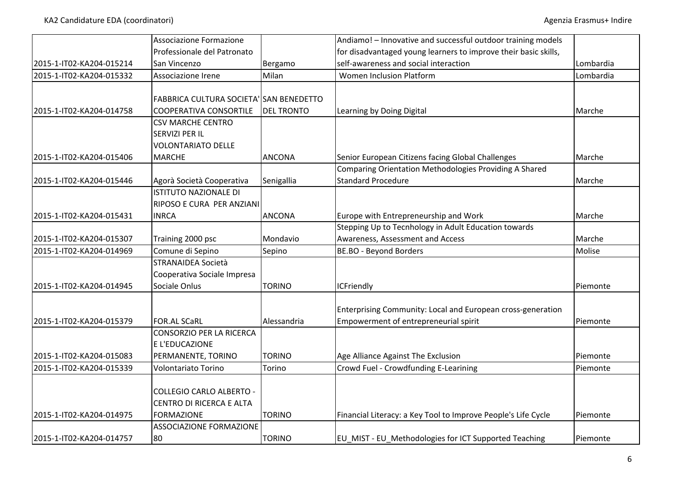|                          | Associazione Formazione                 |                   | Andiamo! - Innovative and successful outdoor training models    |           |
|--------------------------|-----------------------------------------|-------------------|-----------------------------------------------------------------|-----------|
|                          | Professionale del Patronato             |                   | for disadvantaged young learners to improve their basic skills, |           |
|                          |                                         |                   |                                                                 |           |
| 2015-1-IT02-KA204-015214 | San Vincenzo                            | Bergamo           | self-awareness and social interaction                           | Lombardia |
| 2015-1-IT02-KA204-015332 | Associazione Irene                      | Milan             | Women Inclusion Platform                                        | Lombardia |
|                          |                                         |                   |                                                                 |           |
|                          | FABBRICA CULTURA SOCIETA' SAN BENEDETTO |                   |                                                                 |           |
| 2015-1-IT02-KA204-014758 | <b>COOPERATIVA CONSORTILE</b>           | <b>DEL TRONTO</b> | Learning by Doing Digital                                       | Marche    |
|                          | <b>CSV MARCHE CENTRO</b>                |                   |                                                                 |           |
|                          | SERVIZI PER IL                          |                   |                                                                 |           |
|                          | <b>VOLONTARIATO DELLE</b>               |                   |                                                                 |           |
| 2015-1-IT02-KA204-015406 | <b>MARCHE</b>                           | <b>ANCONA</b>     | Senior European Citizens facing Global Challenges               | Marche    |
|                          |                                         |                   | Comparing Orientation Methodologies Providing A Shared          |           |
| 2015-1-IT02-KA204-015446 | Agorà Società Cooperativa               | Senigallia        | <b>Standard Procedure</b>                                       | Marche    |
|                          | <b>ISTITUTO NAZIONALE DI</b>            |                   |                                                                 |           |
|                          | RIPOSO E CURA PER ANZIANI               |                   |                                                                 |           |
| 2015-1-IT02-KA204-015431 | <b>INRCA</b>                            | <b>ANCONA</b>     | Europe with Entrepreneurship and Work                           | Marche    |
|                          |                                         |                   | Stepping Up to Tecnhology in Adult Education towards            |           |
| 2015-1-IT02-KA204-015307 | Training 2000 psc                       | Mondavio          | Awareness, Assessment and Access                                | Marche    |
| 2015-1-IT02-KA204-014969 | Comune di Sepino                        | Sepino            | BE.BO - Beyond Borders                                          | Molise    |
|                          | <b>STRANAIDEA Società</b>               |                   |                                                                 |           |
|                          | Cooperativa Sociale Impresa             |                   |                                                                 |           |
| 2015-1-IT02-KA204-014945 | Sociale Onlus                           | <b>TORINO</b>     | <b>ICFriendly</b>                                               | Piemonte  |
|                          |                                         |                   |                                                                 |           |
|                          |                                         |                   | Enterprising Community: Local and European cross-generation     |           |
| 2015-1-IT02-KA204-015379 | <b>FOR.AL SCaRL</b>                     | Alessandria       | Empowerment of entrepreneurial spirit                           | Piemonte  |
|                          | <b>CONSORZIO PER LA RICERCA</b>         |                   |                                                                 |           |
|                          | E L'EDUCAZIONE                          |                   |                                                                 |           |
| 2015-1-IT02-KA204-015083 | PERMANENTE, TORINO                      | <b>TORINO</b>     | Age Alliance Against The Exclusion                              | Piemonte  |
| 2015-1-IT02-KA204-015339 | Volontariato Torino                     | Torino            | Crowd Fuel - Crowdfunding E-Learining                           | Piemonte  |
|                          |                                         |                   |                                                                 |           |
|                          | <b>COLLEGIO CARLO ALBERTO -</b>         |                   |                                                                 |           |
|                          | CENTRO DI RICERCA E ALTA                |                   |                                                                 |           |
| 2015-1-IT02-KA204-014975 | <b>FORMAZIONE</b>                       | <b>TORINO</b>     | Financial Literacy: a Key Tool to Improve People's Life Cycle   | Piemonte  |
|                          | <b>ASSOCIAZIONE FORMAZIONE</b>          |                   |                                                                 |           |
|                          | 80                                      | <b>TORINO</b>     |                                                                 |           |
| 2015-1-IT02-KA204-014757 |                                         |                   | EU_MIST - EU_Methodologies for ICT Supported Teaching           | Piemonte  |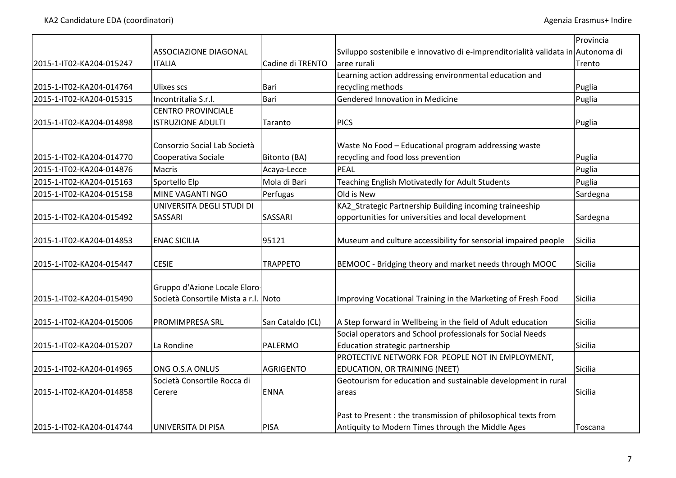|                          |                                                                       |                  |                                                                                                                     | Provincia      |
|--------------------------|-----------------------------------------------------------------------|------------------|---------------------------------------------------------------------------------------------------------------------|----------------|
|                          | <b>ASSOCIAZIONE DIAGONAL</b>                                          |                  | Sviluppo sostenibile e innovativo di e-imprenditorialità validata in Autonoma di                                    |                |
| 2015-1-IT02-KA204-015247 | <b>ITALIA</b>                                                         | Cadine di TRENTO | aree rurali                                                                                                         | Trento         |
|                          |                                                                       |                  | Learning action addressing environmental education and                                                              |                |
| 2015-1-IT02-KA204-014764 | <b>Ulixes scs</b>                                                     | Bari             | recycling methods                                                                                                   | Puglia         |
| 2015-1-IT02-KA204-015315 | Incontritalia S.r.l.                                                  | Bari             | Gendered Innovation in Medicine                                                                                     | Puglia         |
|                          | <b>CENTRO PROVINCIALE</b>                                             |                  |                                                                                                                     |                |
| 2015-1-IT02-KA204-014898 | <b>ISTRUZIONE ADULTI</b>                                              | Taranto          | <b>PICS</b>                                                                                                         | Puglia         |
|                          | Consorzio Social Lab Società                                          |                  | Waste No Food - Educational program addressing waste                                                                |                |
| 2015-1-IT02-KA204-014770 | Cooperativa Sociale                                                   | Bitonto (BA)     | recycling and food loss prevention                                                                                  | Puglia         |
| 2015-1-IT02-KA204-014876 | <b>Macris</b>                                                         | Acaya-Lecce      | PEAL                                                                                                                | Puglia         |
| 2015-1-IT02-KA204-015163 | Sportello Elp                                                         | Mola di Bari     | Teaching English Motivatedly for Adult Students                                                                     | Puglia         |
| 2015-1-IT02-KA204-015158 | MINE VAGANTI NGO                                                      | Perfugas         | Old is New                                                                                                          | Sardegna       |
|                          | UNIVERSITA DEGLI STUDI DI                                             |                  | KA2_Strategic Partnership Building incoming traineeship                                                             |                |
| 2015-1-IT02-KA204-015492 | <b>SASSARI</b>                                                        | SASSARI          | opportunities for universities and local development                                                                | Sardegna       |
| 2015-1-IT02-KA204-014853 | <b>ENAC SICILIA</b>                                                   | 95121            | Museum and culture accessibility for sensorial impaired people                                                      | Sicilia        |
| 2015-1-IT02-KA204-015447 | <b>CESIE</b>                                                          | <b>TRAPPETO</b>  | BEMOOC - Bridging theory and market needs through MOOC                                                              | <b>Sicilia</b> |
| 2015-1-IT02-KA204-015490 | Gruppo d'Azione Locale Eloro-<br>Società Consortile Mista a r.l. Noto |                  | Improving Vocational Training in the Marketing of Fresh Food                                                        | <b>Sicilia</b> |
| 2015-1-IT02-KA204-015006 | PROMIMPRESA SRL                                                       | San Cataldo (CL) | A Step forward in Wellbeing in the field of Adult education                                                         | Sicilia        |
|                          |                                                                       |                  | Social operators and School professionals for Social Needs                                                          |                |
| 2015-1-IT02-KA204-015207 | La Rondine                                                            | PALERMO          | <b>Education strategic partnership</b>                                                                              | Sicilia        |
|                          |                                                                       |                  | PROTECTIVE NETWORK FOR PEOPLE NOT IN EMPLOYMENT,                                                                    |                |
| 2015-1-IT02-KA204-014965 | ONG O.S.A ONLUS                                                       | <b>AGRIGENTO</b> | EDUCATION, OR TRAINING (NEET)                                                                                       | Sicilia        |
|                          | Società Consortile Rocca di                                           |                  | Geotourism for education and sustainable development in rural                                                       |                |
| 2015-1-IT02-KA204-014858 | Cerere                                                                | <b>ENNA</b>      | areas                                                                                                               | Sicilia        |
| 2015-1-IT02-KA204-014744 | UNIVERSITA DI PISA                                                    | <b>PISA</b>      | Past to Present : the transmission of philosophical texts from<br>Antiquity to Modern Times through the Middle Ages | Toscana        |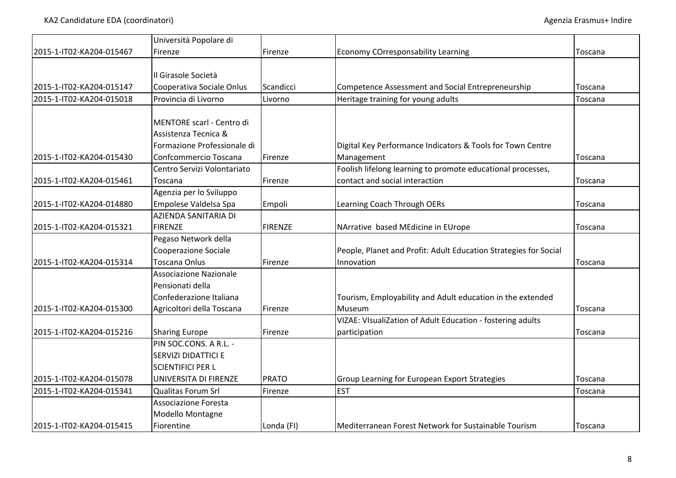|                          | Università Popolare di        |                |                                                                  |         |
|--------------------------|-------------------------------|----------------|------------------------------------------------------------------|---------|
| 2015-1-IT02-KA204-015467 | Firenze                       | Firenze        | <b>Economy COrresponsability Learning</b>                        | Toscana |
|                          |                               |                |                                                                  |         |
|                          | Il Girasole Società           |                |                                                                  |         |
| 2015-1-IT02-KA204-015147 | Cooperativa Sociale Onlus     | Scandicci      | Competence Assessment and Social Entrepreneurship                | Toscana |
| 2015-1-IT02-KA204-015018 | Provincia di Livorno          | Livorno        | Heritage training for young adults                               | Toscana |
|                          |                               |                |                                                                  |         |
|                          | MENTORE scarl - Centro di     |                |                                                                  |         |
|                          | Assistenza Tecnica &          |                |                                                                  |         |
|                          | Formazione Professionale di   |                | Digital Key Performance Indicators & Tools for Town Centre       |         |
| 2015-1-IT02-KA204-015430 | Confcommercio Toscana         | Firenze        | Management                                                       | Toscana |
|                          | Centro Servizi Volontariato   |                | Foolish lifelong learning to promote educational processes,      |         |
| 2015-1-IT02-KA204-015461 | Toscana                       | Firenze        | contact and social interaction                                   | Toscana |
|                          | Agenzia per lo Sviluppo       |                |                                                                  |         |
| 2015-1-IT02-KA204-014880 | Empolese Valdelsa Spa         | Empoli         | Learning Coach Through OERs                                      | Toscana |
|                          | AZIENDA SANITARIA DI          |                |                                                                  |         |
| 2015-1-IT02-KA204-015321 | <b>FIRENZE</b>                | <b>FIRENZE</b> | NArrative based MEdicine in EUrope                               | Toscana |
|                          | Pegaso Network della          |                |                                                                  |         |
|                          | Cooperazione Sociale          |                | People, Planet and Profit: Adult Education Strategies for Social |         |
| 2015-1-IT02-KA204-015314 | <b>Toscana Onlus</b>          | Firenze        | Innovation                                                       | Toscana |
|                          | <b>Associazione Nazionale</b> |                |                                                                  |         |
|                          | Pensionati della              |                |                                                                  |         |
|                          | Confederazione Italiana       |                | Tourism, Employability and Adult education in the extended       |         |
| 2015-1-IT02-KA204-015300 | Agricoltori della Toscana     | Firenze        | Museum                                                           | Toscana |
|                          |                               |                | VIZAE: VIsualiZation of Adult Education - fostering adults       |         |
| 2015-1-IT02-KA204-015216 | <b>Sharing Europe</b>         | Firenze        | participation                                                    | Toscana |
|                          | PIN SOC.CONS. A R.L. -        |                |                                                                  |         |
|                          | SERVIZI DIDATTICI E           |                |                                                                  |         |
|                          | <b>SCIENTIFICI PER L</b>      |                |                                                                  |         |
| 2015-1-IT02-KA204-015078 | UNIVERSITA DI FIRENZE         | <b>PRATO</b>   | Group Learning for European Export Strategies                    | Toscana |
| 2015-1-IT02-KA204-015341 | <b>Qualitas Forum Srl</b>     | Firenze        | <b>EST</b>                                                       | Toscana |
|                          | <b>Associazione Foresta</b>   |                |                                                                  |         |
|                          | Modello Montagne              |                |                                                                  |         |
| 2015-1-IT02-KA204-015415 | Fiorentine                    | Londa (FI)     | Mediterranean Forest Network for Sustainable Tourism             | Toscana |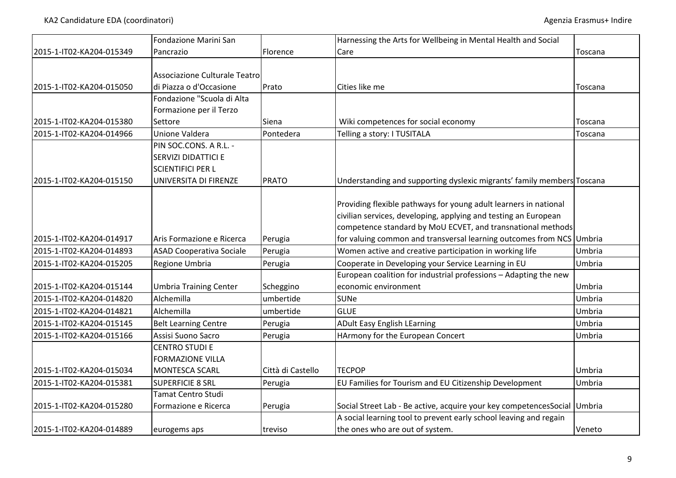|                          | Fondazione Marini San           |                   | Harnessing the Arts for Wellbeing in Mental Health and Social            |               |
|--------------------------|---------------------------------|-------------------|--------------------------------------------------------------------------|---------------|
| 2015-1-IT02-KA204-015349 | Pancrazio                       | Florence          | Care                                                                     | Toscana       |
|                          |                                 |                   |                                                                          |               |
|                          | Associazione Culturale Teatro   |                   |                                                                          |               |
| 2015-1-IT02-KA204-015050 | di Piazza o d'Occasione         | Prato             | Cities like me                                                           | Toscana       |
|                          | Fondazione "Scuola di Alta      |                   |                                                                          |               |
|                          | Formazione per il Terzo         |                   |                                                                          |               |
| 2015-1-IT02-KA204-015380 | Settore                         | Siena             | Wiki competences for social economy                                      | Toscana       |
| 2015-1-IT02-KA204-014966 | Unione Valdera                  | Pontedera         | Telling a story: I TUSITALA                                              | Toscana       |
|                          | PIN SOC.CONS. A R.L. -          |                   |                                                                          |               |
|                          | SERVIZI DIDATTICI E             |                   |                                                                          |               |
|                          | <b>SCIENTIFICI PER L</b>        |                   |                                                                          |               |
| 2015-1-IT02-KA204-015150 | UNIVERSITA DI FIRENZE           | <b>PRATO</b>      | Understanding and supporting dyslexic migrants' family members Toscana   |               |
|                          |                                 |                   |                                                                          |               |
|                          |                                 |                   | Providing flexible pathways for young adult learners in national         |               |
|                          |                                 |                   | civilian services, developing, applying and testing an European          |               |
|                          |                                 |                   | competence standard by MoU ECVET, and transnational methods              |               |
| 2015-1-IT02-KA204-014917 | Aris Formazione e Ricerca       | Perugia           | for valuing common and transversal learning outcomes from NCS Umbria     |               |
| 2015-1-IT02-KA204-014893 | <b>ASAD Cooperativa Sociale</b> | Perugia           | Women active and creative participation in working life                  | Umbria        |
| 2015-1-IT02-KA204-015205 | Regione Umbria                  | Perugia           | Cooperate in Developing your Service Learning in EU                      | <b>Umbria</b> |
|                          |                                 |                   | European coalition for industrial professions - Adapting the new         |               |
| 2015-1-IT02-KA204-015144 | <b>Umbria Training Center</b>   | Scheggino         | economic environment                                                     | Umbria        |
| 2015-1-IT02-KA204-014820 | Alchemilla                      | umbertide         | <b>SUNe</b>                                                              | Umbria        |
| 2015-1-IT02-KA204-014821 | Alchemilla                      | umbertide         | <b>GLUE</b>                                                              | Umbria        |
| 2015-1-IT02-KA204-015145 | <b>Belt Learning Centre</b>     | Perugia           | <b>ADult Easy English LEarning</b>                                       | Umbria        |
| 2015-1-IT02-KA204-015166 | Assisi Suono Sacro              | Perugia           | HArmony for the European Concert                                         | Umbria        |
|                          | <b>CENTRO STUDI E</b>           |                   |                                                                          |               |
|                          | <b>FORMAZIONE VILLA</b>         |                   |                                                                          |               |
| 2015-1-IT02-KA204-015034 | <b>MONTESCA SCARL</b>           | Città di Castello | <b>TECPOP</b>                                                            | Umbria        |
| 2015-1-IT02-KA204-015381 | <b>SUPERFICIE 8 SRL</b>         | Perugia           | EU Families for Tourism and EU Citizenship Development                   | Umbria        |
|                          | Tamat Centro Studi              |                   |                                                                          |               |
| 2015-1-IT02-KA204-015280 | Formazione e Ricerca            | Perugia           | Social Street Lab - Be active, acquire your key competencesSocial Umbria |               |
|                          |                                 |                   | A social learning tool to prevent early school leaving and regain        |               |
| 2015-1-IT02-KA204-014889 | eurogems aps                    | treviso           | the ones who are out of system.                                          | Veneto        |